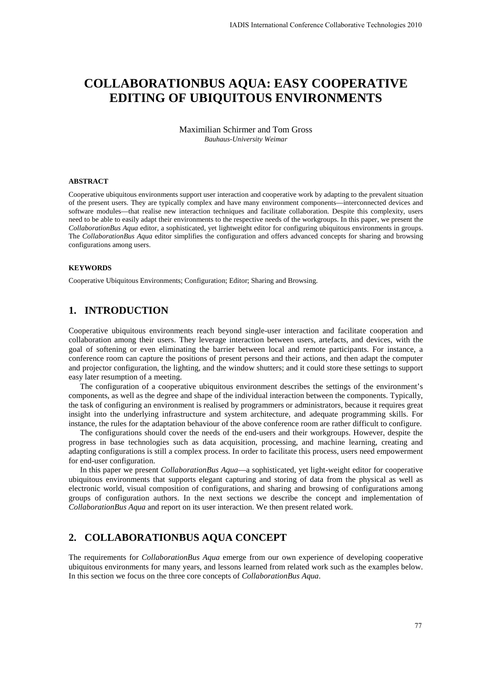# **COLLABORATIONBUS AQUA: EASY COOPERATIVE EDITING OF UBIQUITOUS ENVIRONMENTS**

Maximilian Schirmer and Tom Gross *Bauhaus-University Weimar* 

#### **ABSTRACT**

Cooperative ubiquitous environments support user interaction and cooperative work by adapting to the prevalent situation of the present users. They are typically complex and have many environment components—interconnected devices and software modules—that realise new interaction techniques and facilitate collaboration. Despite this complexity, users need to be able to easily adapt their environments to the respective needs of the workgroups. In this paper, we present the *CollaborationBus Aqua* editor, a sophisticated, yet lightweight editor for configuring ubiquitous environments in groups. The *CollaborationBus Aqua* editor simplifies the configuration and offers advanced concepts for sharing and browsing configurations among users. IADIS International Conference Collaborative Technologies 2010<br>
AQUA: EASY COOPERATIVE<br>
ITTOUS ENVIRONMENTS<br>
Entimere and Tom Gross<br> *Chiversity Weimar*<br>
chivers and Rolling conducts interconnected devices and<br> *Chiversit* 

#### **KEYWORDS**

Cooperative Ubiquitous Environments; Configuration; Editor; Sharing and Browsing.

### **1. INTRODUCTION**

Cooperative ubiquitous environments reach beyond single-user interaction and facilitate cooperation and collaboration among their users. They leverage interaction between users, artefacts, and devices, with the goal of softening or even eliminating the barrier between local and remote participants. For instance, a conference room can capture the positions of present persons and their actions, and then adapt the computer and projector configuration, the lighting, and the window shutters; and it could store these settings to support easy later resumption of a meeting.

The configuration of a cooperative ubiquitous environment describes the settings of the environment's components, as well as the degree and shape of the individual interaction between the components. Typically, the task of configuring an environment is realised by programmers or administrators, because it requires great insight into the underlying infrastructure and system architecture, and adequate programming skills. For instance, the rules for the adaptation behaviour of the above conference room are rather difficult to configure.

The configurations should cover the needs of the end-users and their workgroups. However, despite the progress in base technologies such as data acquisition, processing, and machine learning, creating and adapting configurations is still a complex process. In order to facilitate this process, users need empowerment for end-user configuration.

In this paper we present *CollaborationBus Aqua*—a sophisticated, yet light-weight editor for cooperative ubiquitous environments that supports elegant capturing and storing of data from the physical as well as electronic world, visual composition of configurations, and sharing and browsing of configurations among groups of configuration authors. In the next sections we describe the concept and implementation of *CollaborationBus Aqua* and report on its user interaction. We then present related work.

### **2. COLLABORATIONBUS AQUA CONCEPT**

The requirements for *CollaborationBus Aqua* emerge from our own experience of developing cooperative ubiquitous environments for many years, and lessons learned from related work such as the examples below. In this section we focus on the three core concepts of *CollaborationBus Aqua*.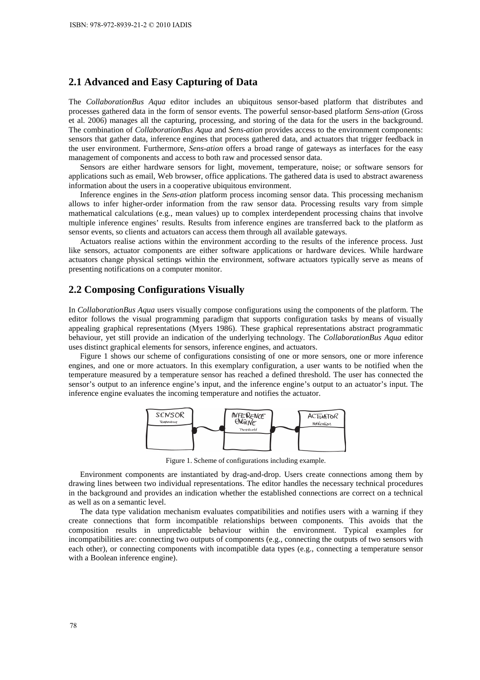### **2.1 Advanced and Easy Capturing of Data**

The *CollaborationBus Aqua* editor includes an ubiquitous sensor-based platform that distributes and processes gathered data in the form of sensor events. The powerful sensor-based platform *Sens-ation* (Gross et al. 2006) manages all the capturing, processing, and storing of the data for the users in the background. The combination of *CollaborationBus Aqua* and *Sens*-*ation* provides access to the environment components: sensors that gather data, inference engines that process gathered data, and actuators that trigger feedback in the user environment. Furthermore, *Sens-ation* offers a broad range of gateways as interfaces for the easy management of components and access to both raw and processed sensor data.

Sensors are either hardware sensors for light, movement, temperature, noise; or software sensors for applications such as email, Web browser, office applications. The gathered data is used to abstract awareness information about the users in a cooperative ubiquitous environment.

Inference engines in the *Sens-ation* platform process incoming sensor data. This processing mechanism allows to infer higher-order information from the raw sensor data. Processing results vary from simple mathematical calculations (e.g., mean values) up to complex interdependent processing chains that involve multiple inference engines' results. Results from inference engines are transferred back to the platform as sensor events, so clients and actuators can access them through all available gateways.

Actuators realise actions within the environment according to the results of the inference process. Just like sensors, actuator components are either software applications or hardware devices. While hardware actuators change physical settings within the environment, software actuators typically serve as means of presenting notifications on a computer monitor.

### **2.2 Composing Configurations Visually**

In *CollaborationBus Aqua* users visually compose configurations using the components of the platform. The editor follows the visual programming paradigm that supports configuration tasks by means of visually appealing graphical representations (Myers 1986). These graphical representations abstract programmatic behaviour, yet still provide an indication of the underlying technology. The *CollaborationBus Aqua* editor uses distinct graphical elements for sensors, inference engines, and actuators.

Figure 1 shows our scheme of configurations consisting of one or more sensors, one or more inference engines, and one or more actuators. In this exemplary configuration, a user wants to be notified when the temperature measured by a temperature sensor has reached a defined threshold. The user has connected the sensor's output to an inference engine's input, and the inference engine's output to an actuator's input. The inference engine evaluates the incoming temperature and notifies the actuator.



Figure 1. Scheme of configurations including example.

Environment components are instantiated by drag-and-drop. Users create connections among them by drawing lines between two individual representations. The editor handles the necessary technical procedures in the background and provides an indication whether the established connections are correct on a technical as well as on a semantic level.

The data type validation mechanism evaluates compatibilities and notifies users with a warning if they create connections that form incompatible relationships between components. This avoids that the composition results in unpredictable behaviour within the environment. Typical examples for incompatibilities are: connecting two outputs of components (e.g., connecting the outputs of two sensors with each other), or connecting components with incompatible data types (e.g., connecting a temperature sensor with a Boolean inference engine).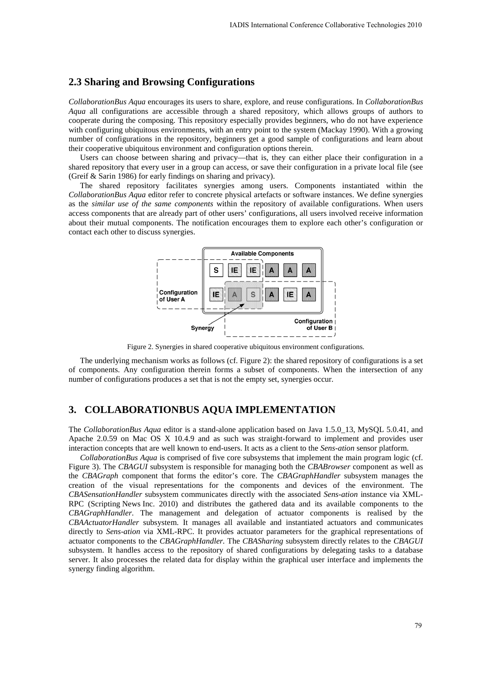### **2.3 Sharing and Browsing Configurations**

*CollaborationBus Aqua* encourages its users to share, explore, and reuse configurations. In *CollaborationBus Aqua* all configurations are accessible through a shared repository, which allows groups of authors to cooperate during the composing. This repository especially provides beginners, who do not have experience with configuring ubiquitous environments, with an entry point to the system (Mackay 1990). With a growing number of configurations in the repository, beginners get a good sample of configurations and learn about their cooperative ubiquitous environment and configuration options therein.

Users can choose between sharing and privacy—that is, they can either place their configuration in a shared repository that every user in a group can access, or save their configuration in a private local file (see (Greif & Sarin 1986) for early findings on sharing and privacy).

The shared repository facilitates synergies among users. Components instantiated within the *CollaborationBus Aqua* editor refer to concrete physical artefacts or software instances. We define synergies as the *similar use of the same components* within the repository of available configurations. When users access components that are already part of other users' configurations, all users involved receive information about their mutual components. The notification encourages them to explore each other's configuration or contact each other to discuss synergies.



Figure 2. Synergies in shared cooperative ubiquitous environment configurations.

The underlying mechanism works as follows (cf. Figure 2): the shared repository of configurations is a set of components. Any configuration therein forms a subset of components. When the intersection of any number of configurations produces a set that is not the empty set, synergies occur.

### **3. COLLABORATIONBUS AQUA IMPLEMENTATION**

The *CollaborationBus Aqua* editor is a stand-alone application based on Java 1.5.0\_13, MySQL 5.0.41, and Apache 2.0.59 on Mac OS X 10.4.9 and as such was straight-forward to implement and provides user interaction concepts that are well known to end-users. It acts as a client to the *Sens-ation* sensor platform.

*CollaborationBus Aqua* is comprised of five core subsystems that implement the main program logic (cf. Figure 3). The *CBAGUI* subsystem is responsible for managing both the *CBABrowser* component as well as the *CBAGraph* component that forms the editor's core. The *CBAGraphHandler* subsystem manages the creation of the visual representations for the components and devices of the environment. The *CBASensationHandler* subsystem communicates directly with the associated *Sens-ation* instance via XML-RPC (Scripting News Inc. 2010) and distributes the gathered data and its available components to the *CBAGraphHandler*. The management and delegation of actuator components is realised by the *CBAActuatorHandler* subsystem. It manages all available and instantiated actuators and communicates directly to *Sens-ation* via XML-RPC. It provides actuator parameters for the graphical representations of actuator components to the *CBAGraphHandler.* The *CBASharing* subsystem directly relates to the *CBAGUI* subsystem. It handles access to the repository of shared configurations by delegating tasks to a database server. It also processes the related data for display within the graphical user interface and implements the synergy finding algorithm. IADIS International Conference Collaborative Technologies 2010<br> **Ations**<br> **Ations**<br> **Ations**<br> **Ations**<br> **Ations**<br> **Ations**<br> **Ations**<br> **Ations**<br> **Ations**<br> **Ations**<br> **Ations**<br> **Ations**<br> **Ations**<br> **Ations**<br> **Ations**<br> **Ations**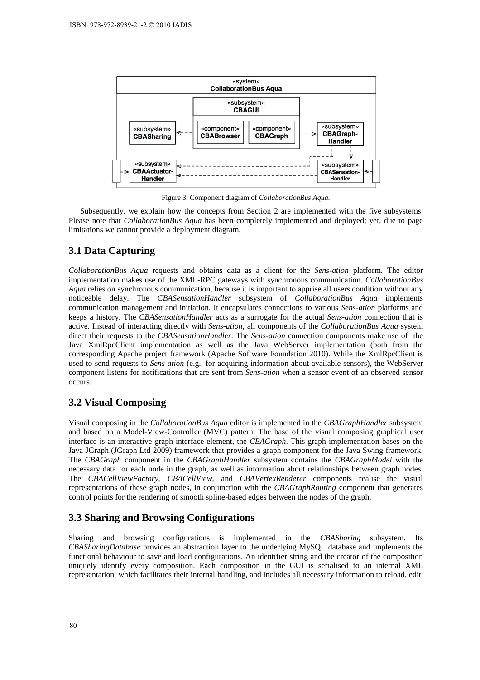

Figure 3. Component diagram of *CollaborationBus Aqua*.

Subsequently, we explain how the concepts from Section 2 are implemented with the five subsystems. Please note that *CollaborationBus Aqua* has been completely implemented and deployed; yet, due to page limitations we cannot provide a deployment diagram.

## **3.1 Data Capturing**

*CollaborationBus Aqua* requests and obtains data as a client for the *Sens-ation* platform. The editor implementation makes use of the XML-RPC gateways with synchronous communication. *CollaborationBus Aqua* relies on synchronous communication, because it is important to apprise all users condition without any noticeable delay. The *CBASensationHandler* subsystem of *CollaborationBus Aqua* implements communication management and initiation. It encapsulates connections to various *Sens-ation* platforms and keeps a history. The *CBASensationHandler* acts as a surrogate for the actual *Sens-ation* connection that is active. Instead of interacting directly with *Sens-ation*, all components of the *CollaborationBus Aqua* system direct their requests to the *CBASensationHandler*. The *Sens-ation* connection components make use of the Java XmlRpcClient implementation as well as the Java WebServer implementation (both from the corresponding Apache project framework (Apache Software Foundation 2010). While the XmlRpcClient is used to send requests to *Sens-ation* (e.g., for acquiring information about available sensors), the WebServer component listens for notifications that are sent from *Sens-ation* when a sensor event of an observed sensor occurs.

## **3.2 Visual Composing**

Visual composing in the *CollaborationBus Aqua* editor is implemented in the *CBAGraphHandler* subsystem and based on a Model-View-Controller (MVC) pattern. The base of the visual composing graphical user interface is an interactive graph interface element, the *CBAGraph*. This graph implementation bases on the Java JGraph (JGraph Ltd 2009) framework that provides a graph component for the Java Swing framework. The *CBAGraph* component in the *CBAGraphHandler* subsystem contains the *CBAGraphModel* with the necessary data for each node in the graph, as well as information about relationships between graph nodes. The *CBACellViewFactory*, *CBACellView*, and *CBAVertexRenderer* components realise the visual representations of these graph nodes, in conjunction with the *CBAGraphRouting* component that generates control points for the rendering of smooth spline-based edges between the nodes of the graph.

## **3.3 Sharing and Browsing Configurations**

Sharing and browsing configurations is implemented in the *CBASharing* subsystem. Its *CBASharingDatabase* provides an abstraction layer to the underlying MySQL database and implements the functional behaviour to save and load configurations. An identifier string and the creator of the composition uniquely identify every composition. Each composition in the GUI is serialised to an internal XML representation, which facilitates their internal handling, and includes all necessary information to reload, edit,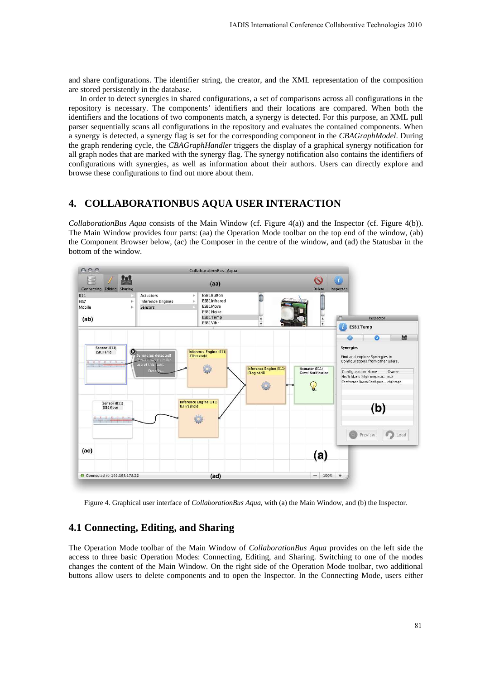and share configurations. The identifier string, the creator, and the XML representation of the composition are stored persistently in the database.

In order to detect synergies in shared configurations, a set of comparisons across all configurations in the repository is necessary. The components' identifiers and their locations are compared. When both the identifiers and the locations of two components match, a synergy is detected. For this purpose, an XML pull parser sequentially scans all configurations in the repository and evaluates the contained components. When a synergy is detected, a synergy flag is set for the corresponding component in the *CBAGraphModel*. During the graph rendering cycle, the *CBAGraphHandler* triggers the display of a graphical synergy notification for all graph nodes that are marked with the synergy flag. The synergy notification also contains the identifiers of configurations with synergies, as well as information about their authors. Users can directly explore and browse these configurations to find out more about them.

### **4. COLLABORATIONBUS AQUA USER INTERACTION**

*CollaborationBus Aqua* consists of the Main Window (cf. Figure 4(a)) and the Inspector (cf. Figure 4(b)). The Main Window provides four parts: (aa) the Operation Mode toolbar on the top end of the window, (ab) the Component Browser below, (ac) the Composer in the centre of the window, and (ad) the Statusbar in the bottom of the window.



Figure 4. Graphical user interface of *CollaborationBus Aqua*, with (a) the Main Window, and (b) the Inspector.

### **4.1 Connecting, Editing, and Sharing**

The Operation Mode toolbar of the Main Window of *CollaborationBus Aqua* provides on the left side the access to three basic Operation Modes: Connecting, Editing, and Sharing. Switching to one of the modes changes the content of the Main Window. On the right side of the Operation Mode toolbar, two additional buttons allow users to delete components and to open the Inspector. In the Connecting Mode, users either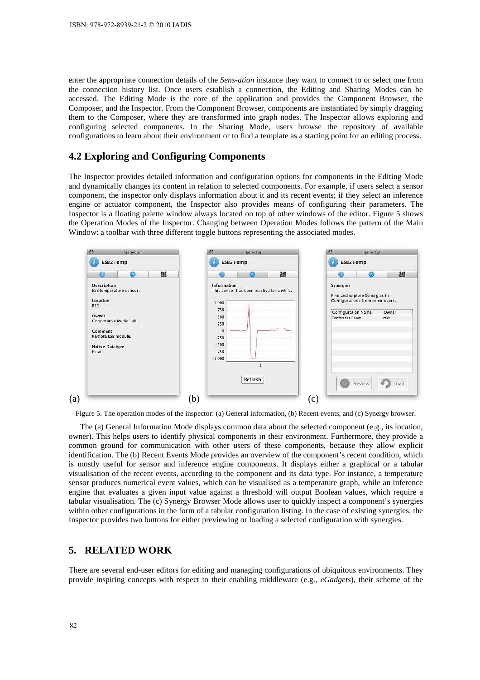enter the appropriate connection details of the *Sens-ation* instance they want to connect to or select one from the connection history list. Once users establish a connection, the Editing and Sharing Modes can be accessed. The Editing Mode is the core of the application and provides the Component Browser, the Composer, and the Inspector. From the Component Browser, components are instantiated by simply dragging them to the Composer, where they are transformed into graph nodes. The Inspector allows exploring and configuring selected components. In the Sharing Mode, users browse the repository of available configurations to learn about their environment or to find a template as a starting point for an editing process.

### **4.2 Exploring and Configuring Components**

The Inspector provides detailed information and configuration options for components in the Editing Mode and dynamically changes its content in relation to selected components. For example, if users select a sensor component, the inspector only displays information about it and its recent events; if they select an inference engine or actuator component, the Inspector also provides means of configuring their parameters. The Inspector is a floating palette window always located on top of other windows of the editor. Figure 5 shows the Operation Modes of the Inspector. Changing between Operation Modes follows the pattern of the Main Window: a toolbar with three different toggle buttons representing the associated modes.



Figure 5. The operation modes of the inspector: (a) General information, (b) Recent events, and (c) Synergy browser.

The (a) General Information Mode displays common data about the selected component (e.g., its location, owner). This helps users to identify physical components in their environment. Furthermore, they provide a common ground for communication with other users of these components, because they allow explicit identification. The (b) Recent Events Mode provides an overview of the component's recent condition, which is mostly useful for sensor and inference engine components. It displays either a graphical or a tabular visualisation of the recent events, according to the component and its data type. For instance, a temperature sensor produces numerical event values, which can be visualised as a temperature graph, while an inference engine that evaluates a given input value against a threshold will output Boolean values, which require a tabular visualisation. The (c) Synergy Browser Mode allows user to quickly inspect a component's synergies within other configurations in the form of a tabular configuration listing. In the case of existing synergies, the Inspector provides two buttons for either previewing or loading a selected configuration with synergies.

### **5. RELATED WORK**

There are several end-user editors for editing and managing configurations of ubiquitous environments. They provide inspiring concepts with respect to their enabling middleware (e.g., *eGadgets*), their scheme of the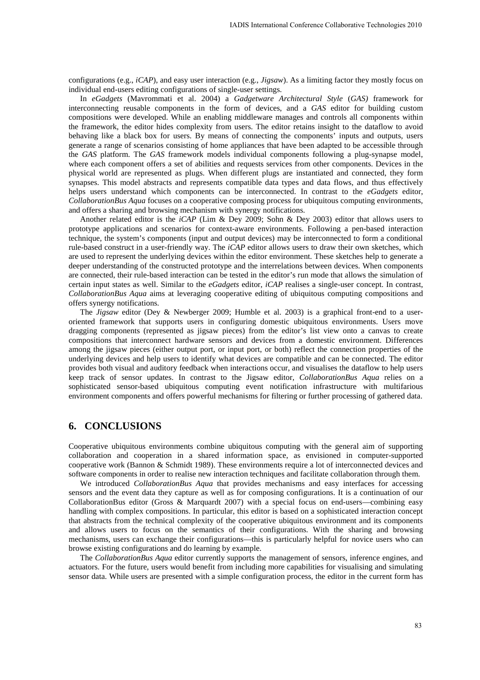configurations (e.g., *iCAP*), and easy user interaction (e.g., *Jigsaw*). As a limiting factor they mostly focus on individual end-users editing configurations of single-user settings.

In *eGadgets* (Mavrommati et al. 2004) a *Gadgetware Architectural Style* (*GAS)* framework for interconnecting reusable components in the form of devices, and a *GAS* editor for building custom compositions were developed. While an enabling middleware manages and controls all components within the framework, the editor hides complexity from users. The editor retains insight to the dataflow to avoid behaving like a black box for users. By means of connecting the components' inputs and outputs, users generate a range of scenarios consisting of home appliances that have been adapted to be accessible through the *GAS* platform. The *GAS* framework models individual components following a plug-synapse model, where each component offers a set of abilities and requests services from other components. Devices in the physical world are represented as plugs. When different plugs are instantiated and connected, they form synapses. This model abstracts and represents compatible data types and data flows, and thus effectively helps users understand which components can be interconnected. In contrast to the *eGadgets* editor, *CollaborationBus Aqua* focuses on a cooperative composing process for ubiquitous computing environments, and offers a sharing and browsing mechanism with synergy notifications. IADIS International Conference Collaborative Technologies 2010<br>
ion (e.g., Jiggaw). As a limiting factor they mostly focus or<br>
ele-user settings,<br>
Gadgensure Architecturari Spyle (GAS) Farmework for<br>
ele-user settings,<br>

Another related editor is the *iCAP* (Lim & Dey 2009; Sohn & Dey 2003) editor that allows users to prototype applications and scenarios for context-aware environments. Following a pen-based interaction technique, the system's components (input and output devices) may be interconnected to form a conditional rule-based construct in a user-friendly way. The *iCAP* editor allows users to draw their own sketches, which are used to represent the underlying devices within the editor environment. These sketches help to generate a deeper understanding of the constructed prototype and the interrelations between devices. When components are connected, their rule-based interaction can be tested in the editor's run mode that allows the simulation of certain input states as well. Similar to the *eGadgets* editor, *iCAP* realises a single-user concept. In contrast, *CollaborationBus Aqua* aims at leveraging cooperative editing of ubiquitous computing compositions and offers synergy notifications.

The *Jigsaw* editor (Dey & Newberger 2009; Humble et al. 2003) is a graphical front-end to a useroriented framework that supports users in configuring domestic ubiquitous environments. Users move dragging components (represented as jigsaw pieces) from the editor's list view onto a canvas to create compositions that interconnect hardware sensors and devices from a domestic environment. Differences among the jigsaw pieces (either output port, or input port, or both) reflect the connection properties of the underlying devices and help users to identify what devices are compatible and can be connected. The editor provides both visual and auditory feedback when interactions occur, and visualises the dataflow to help users keep track of sensor updates. In contrast to the Jigsaw editor, *CollaborationBus Aqua* relies on a sophisticated sensor-based ubiquitous computing event notification infrastructure with multifarious environment components and offers powerful mechanisms for filtering or further processing of gathered data.

### **6. CONCLUSIONS**

Cooperative ubiquitous environments combine ubiquitous computing with the general aim of supporting collaboration and cooperation in a shared information space, as envisioned in computer-supported cooperative work (Bannon & Schmidt 1989). These environments require a lot of interconnected devices and software components in order to realise new interaction techniques and facilitate collaboration through them.

We introduced *CollaborationBus Aqua* that provides mechanisms and easy interfaces for accessing sensors and the event data they capture as well as for composing configurations. It is a continuation of our CollaborationBus editor (Gross & Marquardt 2007) with a special focus on end-users—combining easy handling with complex compositions. In particular, this editor is based on a sophisticated interaction concept that abstracts from the technical complexity of the cooperative ubiquitous environment and its components and allows users to focus on the semantics of their configurations. With the sharing and browsing mechanisms, users can exchange their configurations—this is particularly helpful for novice users who can browse existing configurations and do learning by example.

The *CollaborationBus Aqua* editor currently supports the management of sensors, inference engines, and actuators. For the future, users would benefit from including more capabilities for visualising and simulating sensor data. While users are presented with a simple configuration process, the editor in the current form has